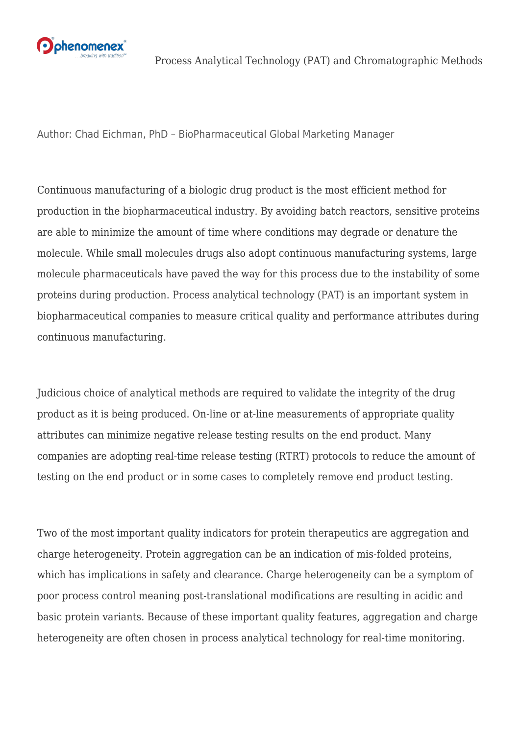

Author: Chad Eichman, PhD – BioPharmaceutical Global Marketing Manager

Continuous manufacturing of a biologic drug product is the most efficient method for production in the [biopharmaceutical industry.](https://phenomenex.blog/category/industry-articles/pharma-biopharma-industry-articles/) By avoiding batch reactors, sensitive proteins are able to minimize the amount of time where conditions may degrade or denature the molecule. While small molecules drugs also adopt continuous manufacturing systems, large molecule pharmaceuticals have paved the way for this process due to the instability of some proteins during production. [Process analytical technology \(PAT\)](https://www.genengnews.com/magazine/november-15-2018-vol-38-no-20/chromatographic-analysis-for-pat/) is an important system in biopharmaceutical companies to measure critical quality and performance attributes during continuous manufacturing.

Judicious choice of analytical methods are required to validate the integrity of the drug product as it is being produced. On-line or at-line measurements of appropriate quality attributes can minimize negative release testing results on the end product. Many companies are adopting real-time release testing (RTRT) protocols to reduce the amount of testing on the end product or in some cases to completely remove end product testing.

Two of the most important quality indicators for protein therapeutics are aggregation and charge heterogeneity. Protein aggregation can be an indication of mis-folded proteins, which has implications in safety and clearance. Charge heterogeneity can be a symptom of poor process control meaning post-translational modifications are resulting in acidic and basic protein variants. Because of these important quality features, aggregation and charge heterogeneity are often chosen in process analytical technology for real-time monitoring.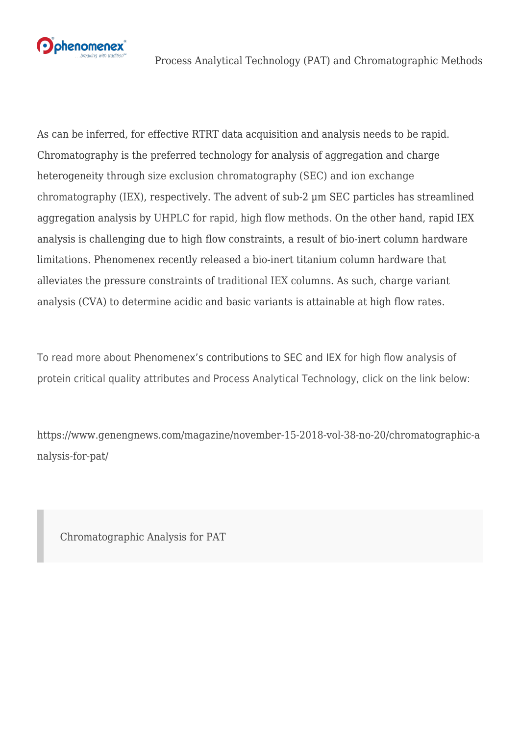

As can be inferred, for effective RTRT data acquisition and analysis needs to be rapid. Chromatography is the preferred technology for analysis of aggregation and charge heterogeneity through [size exclusion chromatography \(SEC\) and ion exchange](http://bit.ly/2SLDqLV) [chromatography \(IEX\),](http://bit.ly/2SLDqLV) respectively. The advent of sub-2 µm SEC particles has streamlined aggregation analysis by [UHPLC for rapid, high flow methods.](http://bit.ly/2Ay13jI) On the other hand, rapid IEX analysis is challenging due to high flow constraints, a result of bio-inert column hardware limitations. Phenomenex recently released a bio-inert titanium column hardware that alleviates the pressure constraints of [traditional IEX columns.](http://bit.ly/2SNESxa) As such, charge variant analysis (CVA) to determine acidic and basic variants is attainable at high flow rates.

To read more about [Phenomenex's contributions to SEC and IEX](http://bit.ly/2SLUuRE) for high flow analysis of protein critical quality attributes and Process Analytical Technology, click on the link below:

[https://www.genengnews.com/magazine/november-15-2018-vol-38-no-20/chromatographic-a](https://www.genengnews.com/magazine/november-15-2018-vol-38-no-20/chromatographic-analysis-for-pat/) [nalysis-for-pat/](https://www.genengnews.com/magazine/november-15-2018-vol-38-no-20/chromatographic-analysis-for-pat/)

[Chromatographic Analysis for PAT](https://www.genengnews.com/magazine/november-15-2018-vol-38-no-20/chromatographic-analysis-for-pat/)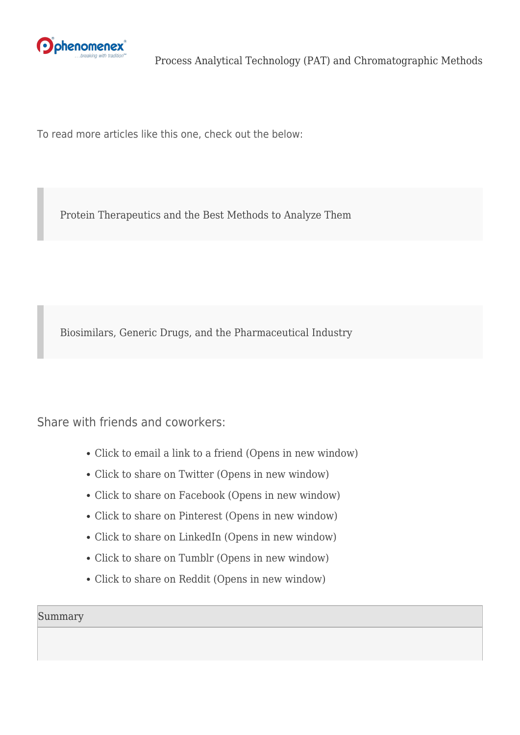

To read more articles like this one, check out the below:

[Protein Therapeutics and the Best Methods to Analyze Them](https://phenomenex.blog/2019/01/04/protein-therapeutics/)

[Biosimilars, Generic Drugs, and the Pharmaceutical Industry](https://phenomenex.blog/2018/12/18/biosimilars/)

Share with friends and coworkers:

- [Click to email a link to a friend \(Opens in new window\)](mailto:?subject=%5BShared%20Post%5D%20Process%20Analytical%20Technology%20%28PAT%29%20and%20Chromatographic%20Methods&body=https%3A%2F%2Fphenomenex.blog%2F2019%2F01%2F09%2Fprocess-analytical-technology%2F&share=email)
- [Click to share on Twitter \(Opens in new window\)](https://phenomenex.blog/2019/01/09/process-analytical-technology/?share=twitter)
- [Click to share on Facebook \(Opens in new window\)](https://phenomenex.blog/2019/01/09/process-analytical-technology/?share=facebook)
- [Click to share on Pinterest \(Opens in new window\)](https://phenomenex.blog/2019/01/09/process-analytical-technology/?share=pinterest)
- [Click to share on LinkedIn \(Opens in new window\)](https://phenomenex.blog/2019/01/09/process-analytical-technology/?share=linkedin)
- [Click to share on Tumblr \(Opens in new window\)](https://phenomenex.blog/2019/01/09/process-analytical-technology/?share=tumblr)
- [Click to share on Reddit \(Opens in new window\)](https://phenomenex.blog/2019/01/09/process-analytical-technology/?share=reddit)

Summary